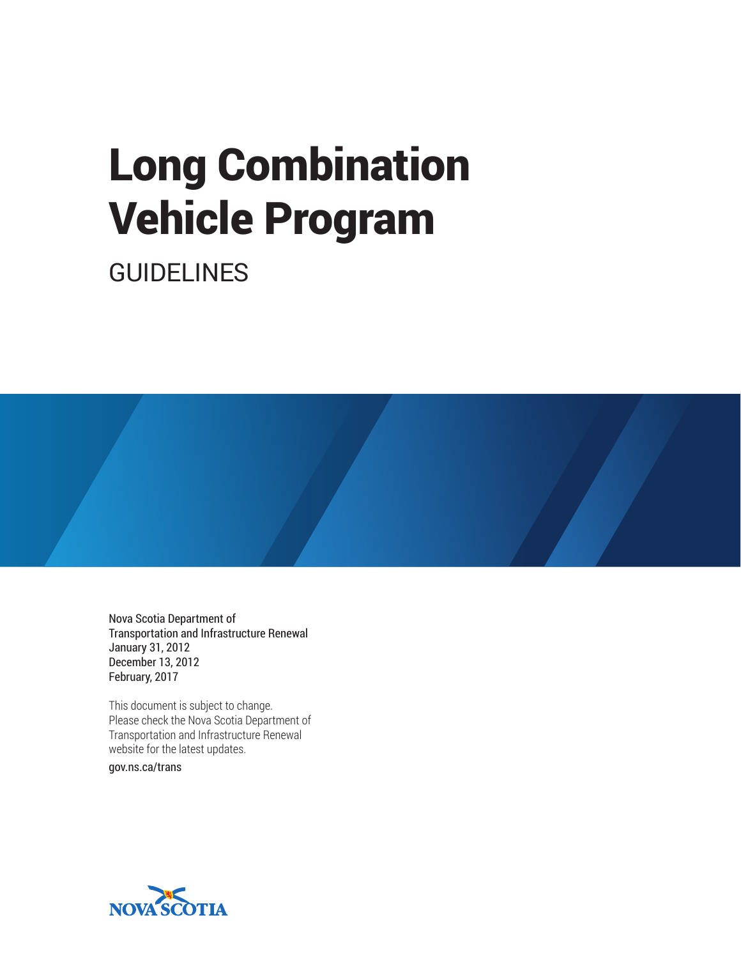# Long Combination Vehicle Program

GUIDELINES

Nova Scotia Department of Transportation and Infrastructure Renewal January 31, 2012 December 13, 2012 February, 2017

This document is subject to change. Please check the Nova Scotia Department of Transportation and Infrastructure Renewal website for the latest updates.

gov.ns.ca/trans

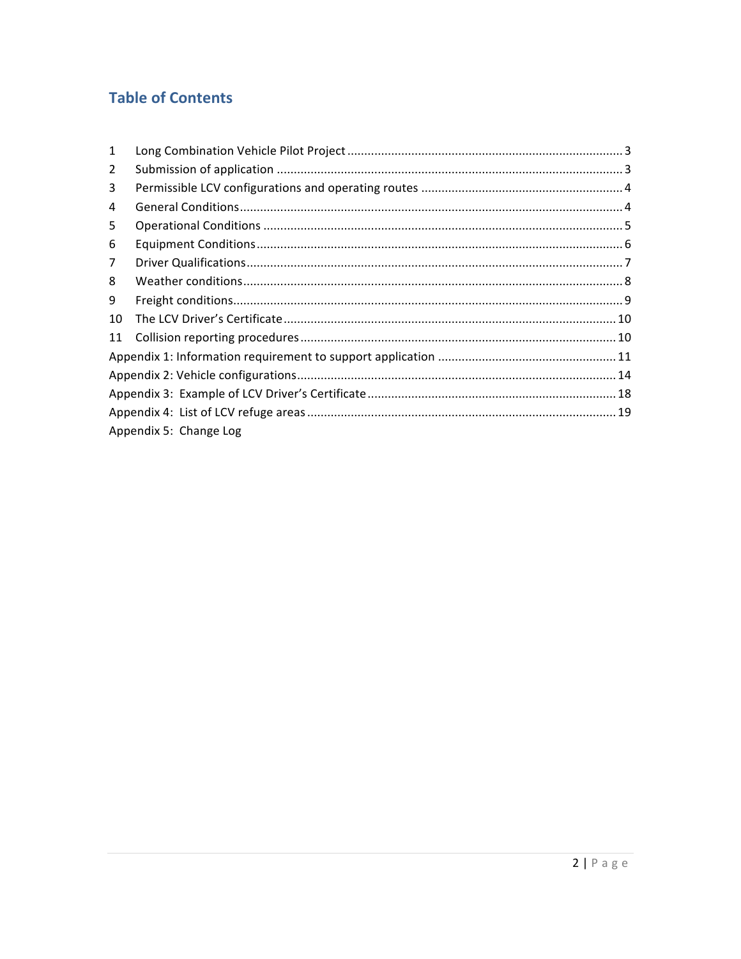## **Table of Contents**

| $\mathbf{1}$   |                        |  |
|----------------|------------------------|--|
| $\overline{2}$ |                        |  |
| 3              |                        |  |
| 4              |                        |  |
| 5              |                        |  |
| 6              |                        |  |
| $\overline{7}$ |                        |  |
| 8              |                        |  |
| 9              |                        |  |
| 10             |                        |  |
| 11             |                        |  |
|                |                        |  |
|                |                        |  |
|                |                        |  |
|                |                        |  |
|                | Appendix 5: Change Log |  |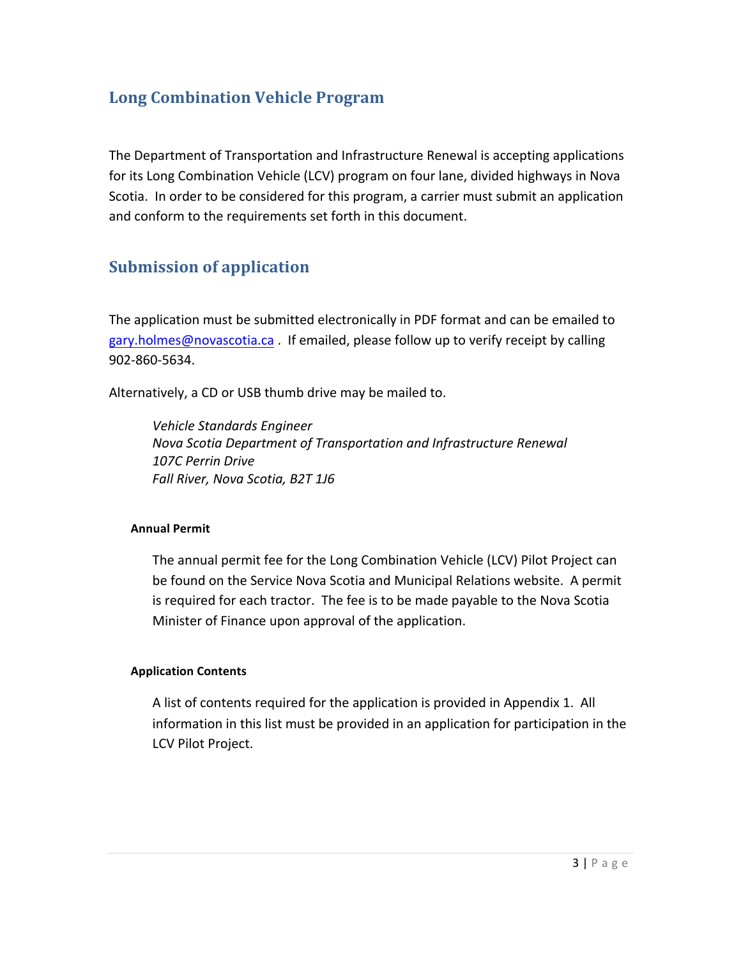## **Long Combination Vehicle Program**

The Department of Transportation and Infrastructure Renewal is accepting applications for its Long Combination Vehicle (LCV) program on four lane, divided highways in Nova Scotia. In order to be considered for this program, a carrier must submit an application and conform to the requirements set forth in this document.

## **Submission of application**

The application must be submitted electronically in PDF format and can be emailed to gary.holmes@novascotia.ca. If emailed, please follow up to verify receipt by calling 902-860-5634.

Alternatively, a CD or USB thumb drive may be mailed to.

*Vehicle Standards Engineer* **Nova Scotia Department of Transportation and Infrastructure Renewal** *107C Perrin Drive Fall River, Nova Scotia, B2T 1J6*

#### **Annual Permit**

The annual permit fee for the Long Combination Vehicle (LCV) Pilot Project can be found on the Service Nova Scotia and Municipal Relations website. A permit is required for each tractor. The fee is to be made payable to the Nova Scotia Minister of Finance upon approval of the application.

#### **Application Contents**

A list of contents required for the application is provided in Appendix 1. All information in this list must be provided in an application for participation in the LCV Pilot Project.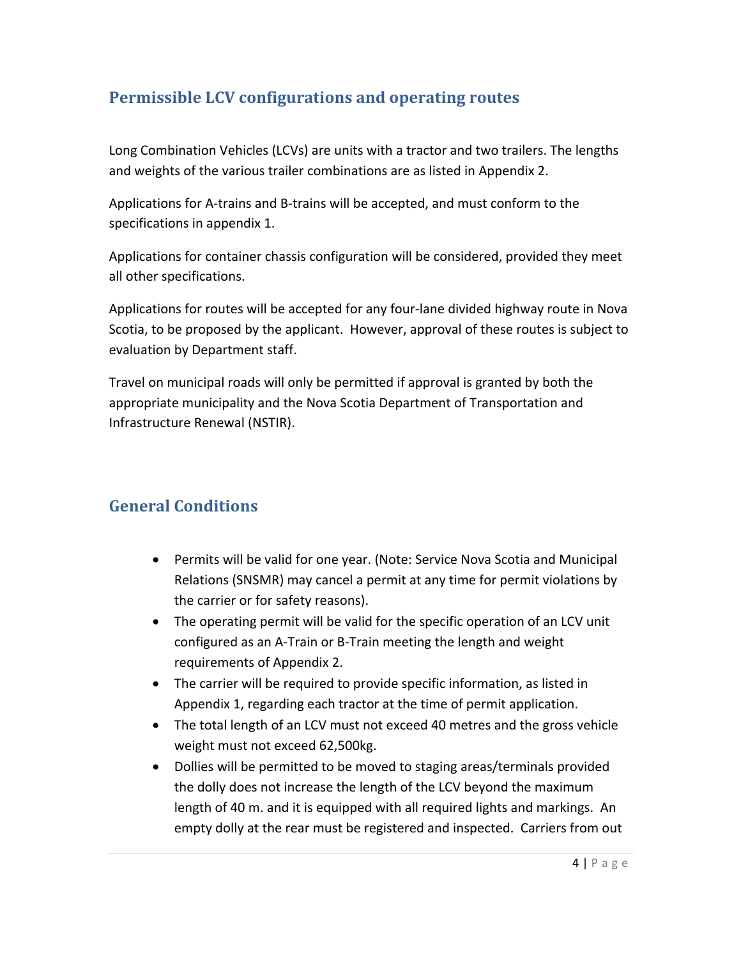## **Permissible LCV configurations and operating routes**

Long Combination Vehicles (LCVs) are units with a tractor and two trailers. The lengths and weights of the various trailer combinations are as listed in Appendix 2.

Applications for A-trains and B-trains will be accepted, and must conform to the specifications in appendix 1.

Applications for container chassis configuration will be considered, provided they meet all other specifications.

Applications for routes will be accepted for any four-lane divided highway route in Nova Scotia, to be proposed by the applicant. However, approval of these routes is subject to evaluation by Department staff.

Travel on municipal roads will only be permitted if approval is granted by both the appropriate municipality and the Nova Scotia Department of Transportation and Infrastructure Renewal (NSTIR).

## **General Conditions**

- Permits will be valid for one year. (Note: Service Nova Scotia and Municipal Relations (SNSMR) may cancel a permit at any time for permit violations by the carrier or for safety reasons).
- The operating permit will be valid for the specific operation of an LCV unit configured as an A-Train or B-Train meeting the length and weight requirements of Appendix 2.
- The carrier will be required to provide specific information, as listed in Appendix 1, regarding each tractor at the time of permit application.
- The total length of an LCV must not exceed 40 metres and the gross vehicle weight must not exceed 62,500kg.
- Dollies will be permitted to be moved to staging areas/terminals provided the dolly does not increase the length of the LCV beyond the maximum length of 40 m. and it is equipped with all required lights and markings. An empty dolly at the rear must be registered and inspected. Carriers from out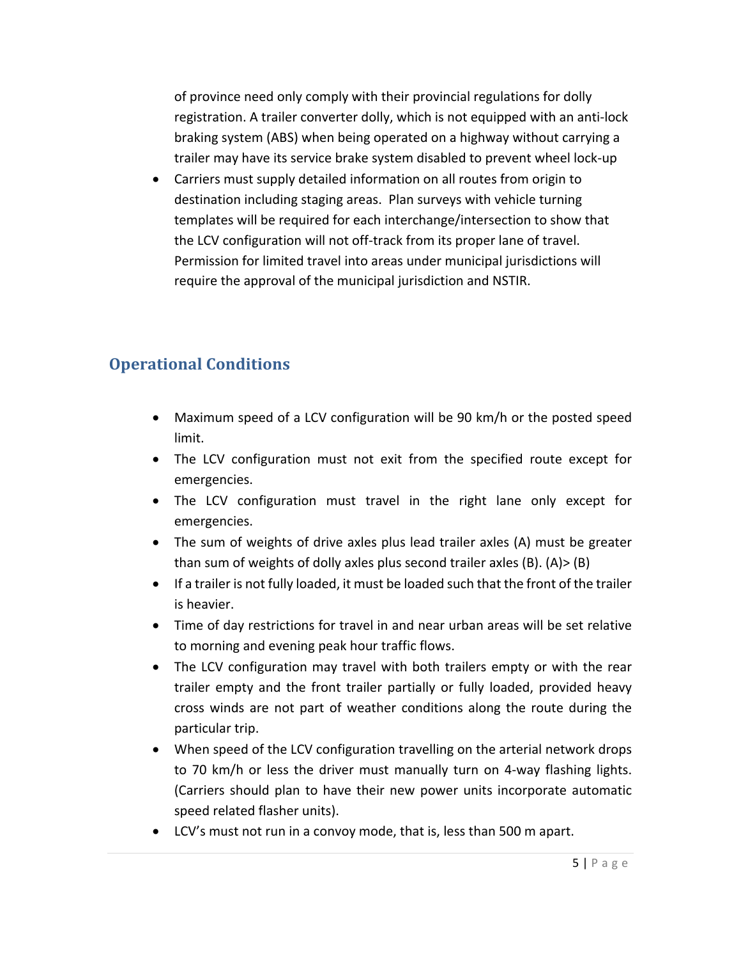of province need only comply with their provincial regulations for dolly registration. A trailer converter dolly, which is not equipped with an anti-lock braking system (ABS) when being operated on a highway without carrying a trailer may have its service brake system disabled to prevent wheel lock-up

• Carriers must supply detailed information on all routes from origin to destination including staging areas. Plan surveys with vehicle turning templates will be required for each interchange/intersection to show that the LCV configuration will not off-track from its proper lane of travel. Permission for limited travel into areas under municipal jurisdictions will require the approval of the municipal jurisdiction and NSTIR.

## **Operational Conditions**

- Maximum speed of a LCV configuration will be 90 km/h or the posted speed limit.
- The LCV configuration must not exit from the specified route except for emergencies.
- The LCV configuration must travel in the right lane only except for emergencies.
- The sum of weights of drive axles plus lead trailer axles (A) must be greater than sum of weights of dolly axles plus second trailer axles  $(B)$ .  $(A)$   $\geq$   $(B)$
- If a trailer is not fully loaded, it must be loaded such that the front of the trailer is heavier.
- Time of day restrictions for travel in and near urban areas will be set relative to morning and evening peak hour traffic flows.
- The LCV configuration may travel with both trailers empty or with the rear trailer empty and the front trailer partially or fully loaded, provided heavy cross winds are not part of weather conditions along the route during the particular trip.
- When speed of the LCV configuration travelling on the arterial network drops to 70 km/h or less the driver must manually turn on 4-way flashing lights. (Carriers should plan to have their new power units incorporate automatic speed related flasher units).
- LCV's must not run in a convoy mode, that is, less than 500 m apart.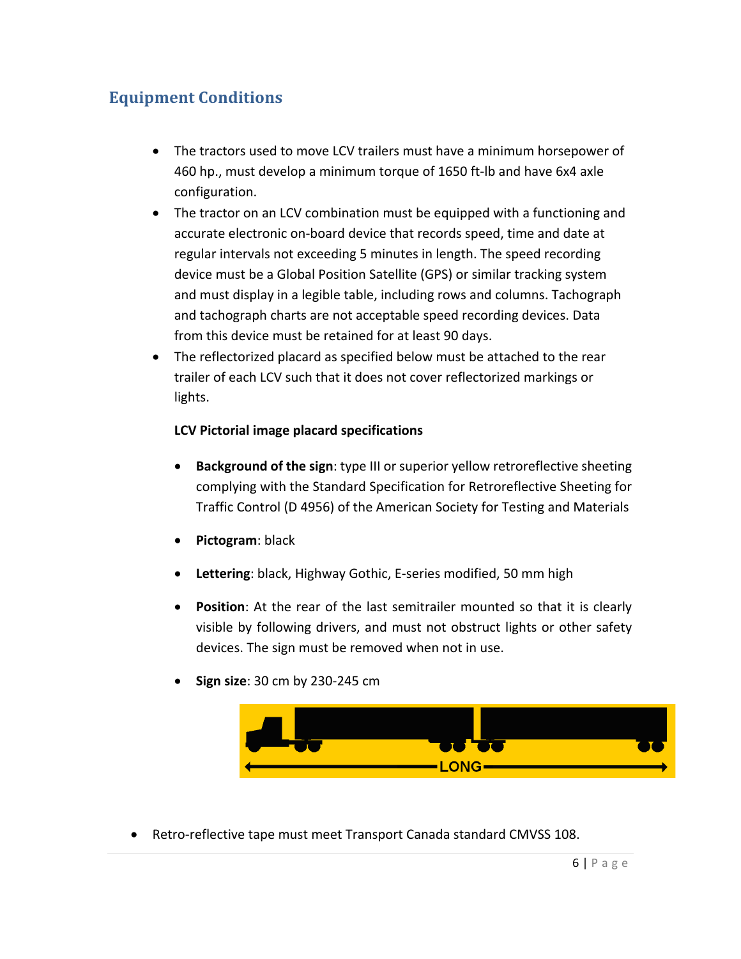## **Equipment Conditions**

- The tractors used to move LCV trailers must have a minimum horsepower of 460 hp., must develop a minimum torque of 1650 ft-lb and have 6x4 axle configuration.
- The tractor on an LCV combination must be equipped with a functioning and accurate electronic on-board device that records speed, time and date at regular intervals not exceeding 5 minutes in length. The speed recording device must be a Global Position Satellite (GPS) or similar tracking system and must display in a legible table, including rows and columns. Tachograph and tachograph charts are not acceptable speed recording devices. Data from this device must be retained for at least 90 days.
- The reflectorized placard as specified below must be attached to the rear trailer of each LCV such that it does not cover reflectorized markings or lights.

#### **LCV Pictorial image placard specifications**

- **Background of the sign**: type III or superior yellow retroreflective sheeting complying with the Standard Specification for Retroreflective Sheeting for Traffic Control (D 4956) of the American Society for Testing and Materials
- **Pictogram:** black
- Lettering: black, Highway Gothic, E-series modified, 50 mm high
- **Position**: At the rear of the last semitrailer mounted so that it is clearly visible by following drivers, and must not obstruct lights or other safety devices. The sign must be removed when not in use.
- **Sign size:** 30 cm by 230-245 cm



• Retro-reflective tape must meet Transport Canada standard CMVSS 108.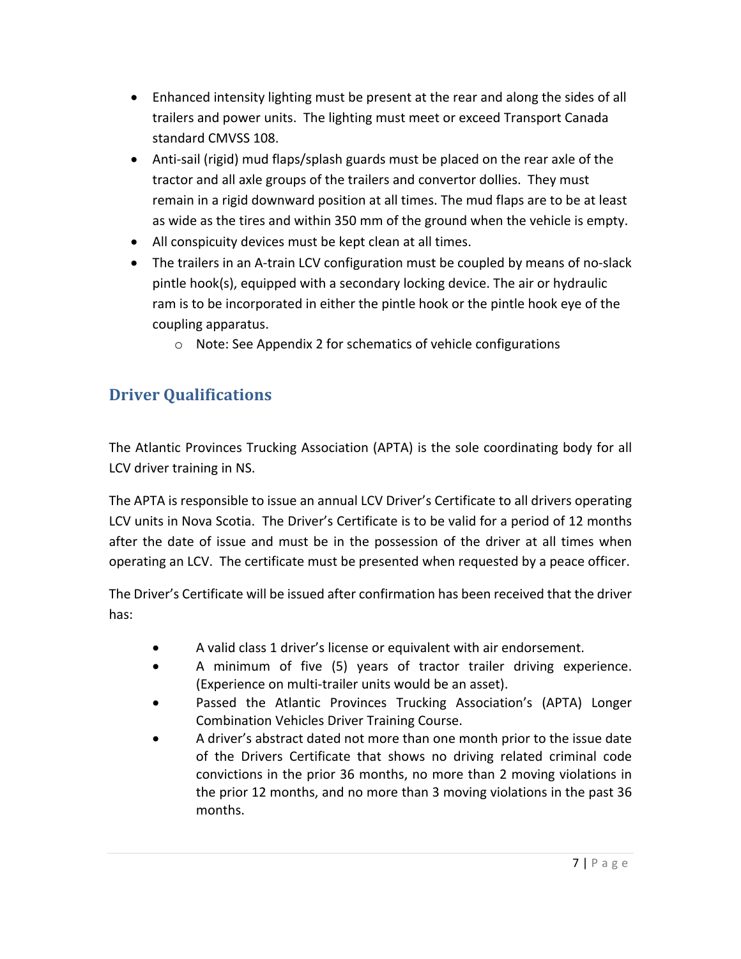- Enhanced intensity lighting must be present at the rear and along the sides of all trailers and power units. The lighting must meet or exceed Transport Canada standard CMVSS 108.
- Anti-sail (rigid) mud flaps/splash guards must be placed on the rear axle of the tractor and all axle groups of the trailers and convertor dollies. They must remain in a rigid downward position at all times. The mud flaps are to be at least as wide as the tires and within 350 mm of the ground when the vehicle is empty.
- All conspicuity devices must be kept clean at all times.
- The trailers in an A-train LCV configuration must be coupled by means of no-slack pintle hook(s), equipped with a secondary locking device. The air or hydraulic ram is to be incorporated in either the pintle hook or the pintle hook eye of the coupling apparatus.
	- $\circ$  Note: See Appendix 2 for schematics of vehicle configurations

## **Driver Oualifications**

The Atlantic Provinces Trucking Association (APTA) is the sole coordinating body for all LCV driver training in NS.

The APTA is responsible to issue an annual LCV Driver's Certificate to all drivers operating LCV units in Nova Scotia. The Driver's Certificate is to be valid for a period of 12 months after the date of issue and must be in the possession of the driver at all times when operating an LCV. The certificate must be presented when requested by a peace officer.

The Driver's Certificate will be issued after confirmation has been received that the driver has: 

- A valid class 1 driver's license or equivalent with air endorsement.
- A minimum of five (5) years of tractor trailer driving experience. (Experience on multi-trailer units would be an asset).
- Passed the Atlantic Provinces Trucking Association's (APTA) Longer Combination Vehicles Driver Training Course.
- A driver's abstract dated not more than one month prior to the issue date of the Drivers Certificate that shows no driving related criminal code convictions in the prior 36 months, no more than 2 moving violations in the prior 12 months, and no more than 3 moving violations in the past 36 months.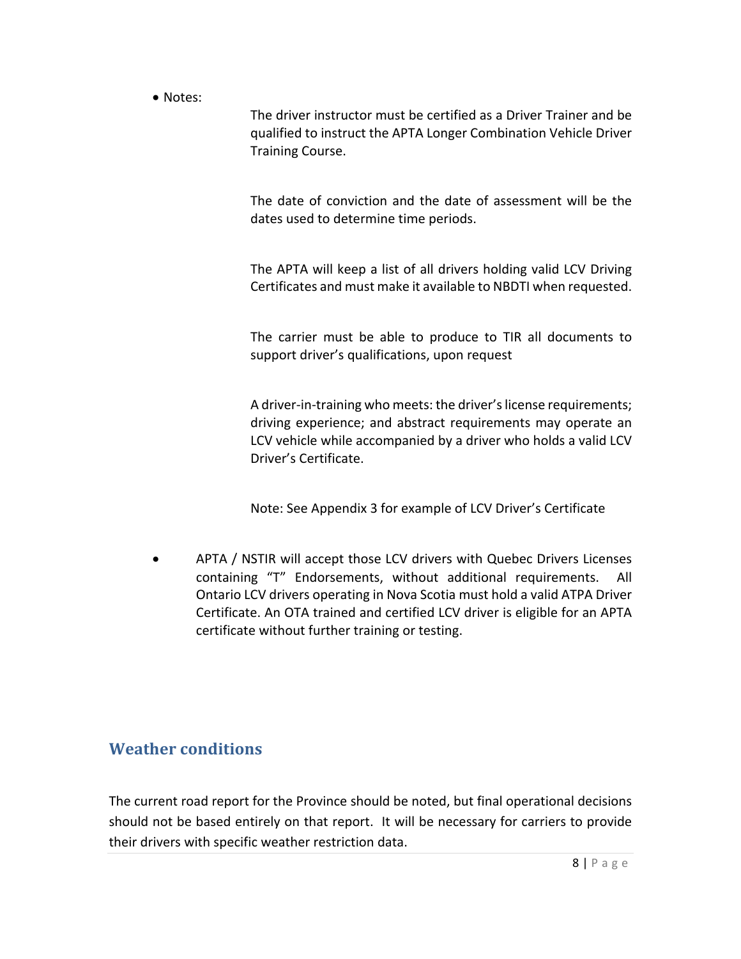• Notes:

The driver instructor must be certified as a Driver Trainer and be qualified to instruct the APTA Longer Combination Vehicle Driver Training Course.

The date of conviction and the date of assessment will be the dates used to determine time periods.

The APTA will keep a list of all drivers holding valid LCV Driving Certificates and must make it available to NBDTI when requested.

The carrier must be able to produce to TIR all documents to support driver's qualifications, upon request

A driver-in-training who meets: the driver's license requirements; driving experience; and abstract requirements may operate an LCV vehicle while accompanied by a driver who holds a valid LCV Driver's Certificate. 

Note: See Appendix 3 for example of LCV Driver's Certificate

APTA / NSTIR will accept those LCV drivers with Quebec Drivers Licenses containing "T" Endorsements, without additional requirements. All Ontario LCV drivers operating in Nova Scotia must hold a valid ATPA Driver Certificate. An OTA trained and certified LCV driver is eligible for an APTA certificate without further training or testing.

### **Weather conditions**

The current road report for the Province should be noted, but final operational decisions should not be based entirely on that report. It will be necessary for carriers to provide their drivers with specific weather restriction data.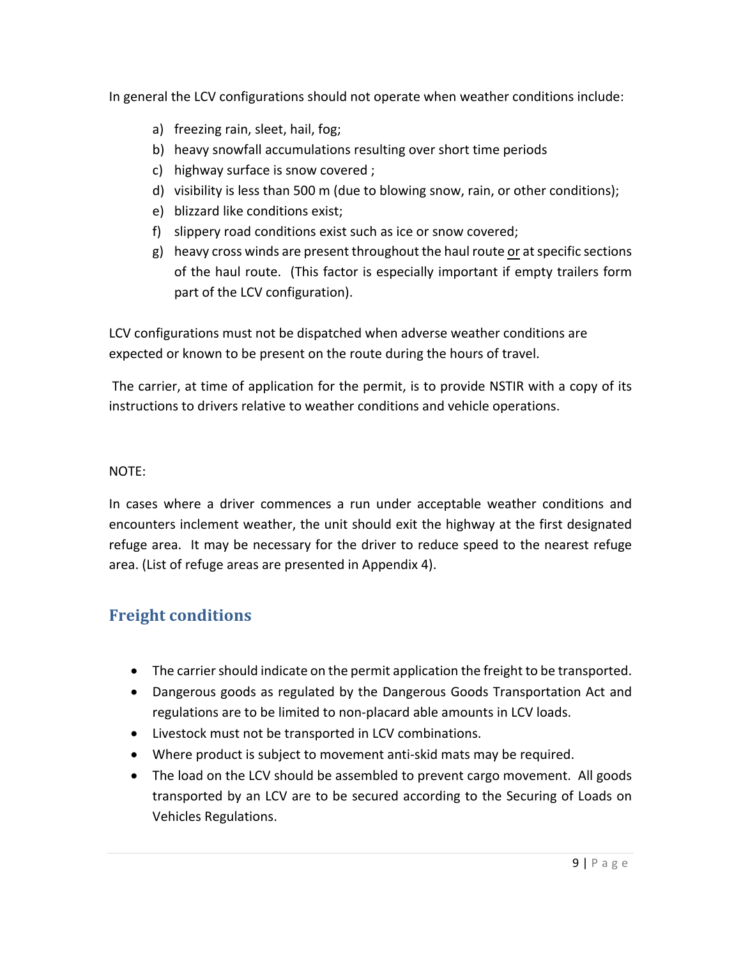In general the LCV configurations should not operate when weather conditions include:

- a) freezing rain, sleet, hail, fog;
- b) heavy snowfall accumulations resulting over short time periods
- c) highway surface is snow covered ;
- d) visibility is less than 500 m (due to blowing snow, rain, or other conditions);
- e) blizzard like conditions exist;
- f) slippery road conditions exist such as ice or snow covered;
- $g$ ) heavy cross winds are present throughout the haul route or at specific sections of the haul route. (This factor is especially important if empty trailers form part of the LCV configuration).

LCV configurations must not be dispatched when adverse weather conditions are expected or known to be present on the route during the hours of travel.

The carrier, at time of application for the permit, is to provide NSTIR with a copy of its instructions to drivers relative to weather conditions and vehicle operations.

#### NOTE:

In cases where a driver commences a run under acceptable weather conditions and encounters inclement weather, the unit should exit the highway at the first designated refuge area. It may be necessary for the driver to reduce speed to the nearest refuge area. (List of refuge areas are presented in Appendix 4).

## **Freight conditions**

- The carrier should indicate on the permit application the freight to be transported.
- Dangerous goods as regulated by the Dangerous Goods Transportation Act and regulations are to be limited to non-placard able amounts in LCV loads.
- Livestock must not be transported in LCV combinations.
- Where product is subject to movement anti-skid mats may be required.
- The load on the LCV should be assembled to prevent cargo movement. All goods transported by an LCV are to be secured according to the Securing of Loads on Vehicles Regulations.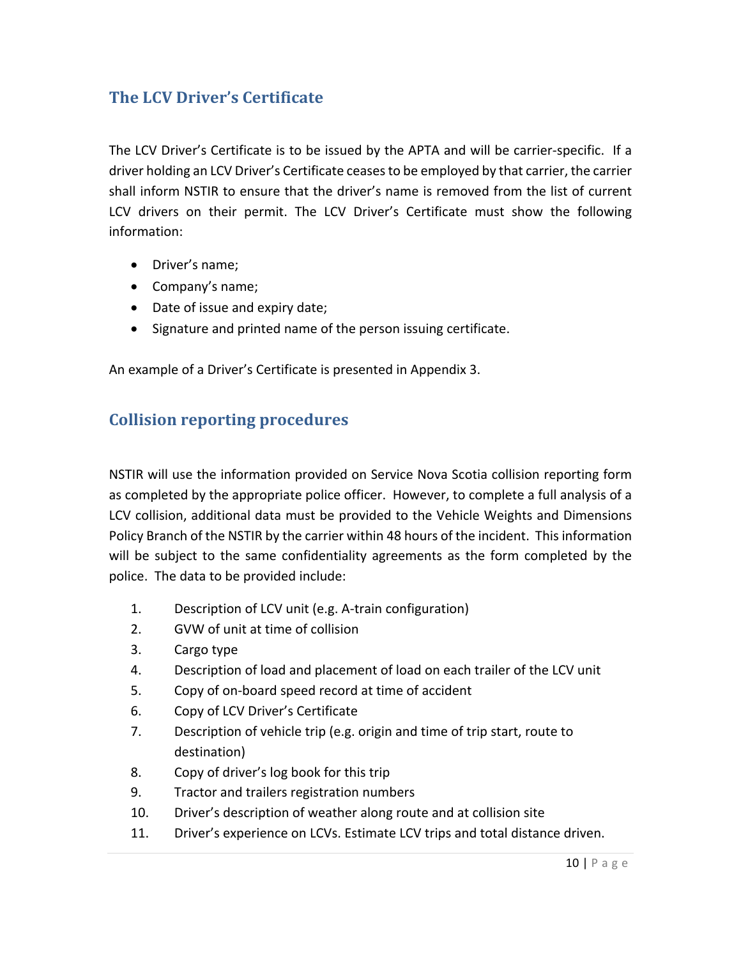## **The LCV Driver's Certificate**

The LCV Driver's Certificate is to be issued by the APTA and will be carrier-specific. If a driver holding an LCV Driver's Certificate ceases to be employed by that carrier, the carrier shall inform NSTIR to ensure that the driver's name is removed from the list of current LCV drivers on their permit. The LCV Driver's Certificate must show the following information:

- Driver's name;
- Company's name;
- Date of issue and expiry date;
- Signature and printed name of the person issuing certificate.

An example of a Driver's Certificate is presented in Appendix 3.

#### **Collision reporting procedures**

NSTIR will use the information provided on Service Nova Scotia collision reporting form as completed by the appropriate police officer. However, to complete a full analysis of a LCV collision, additional data must be provided to the Vehicle Weights and Dimensions Policy Branch of the NSTIR by the carrier within 48 hours of the incident. This information will be subject to the same confidentiality agreements as the form completed by the police. The data to be provided include:

- 1. Description of LCV unit (e.g. A-train configuration)
- 2. GVW of unit at time of collision
- 3. Cargo type
- 4. Description of load and placement of load on each trailer of the LCV unit
- 5. Copy of on-board speed record at time of accident
- 6. Copy of LCV Driver's Certificate
- 7. Description of vehicle trip (e.g. origin and time of trip start, route to destination)
- 8. Copy of driver's log book for this trip
- 9. Tractor and trailers registration numbers
- 10. Driver's description of weather along route and at collision site
- 11. Driver's experience on LCVs. Estimate LCV trips and total distance driven.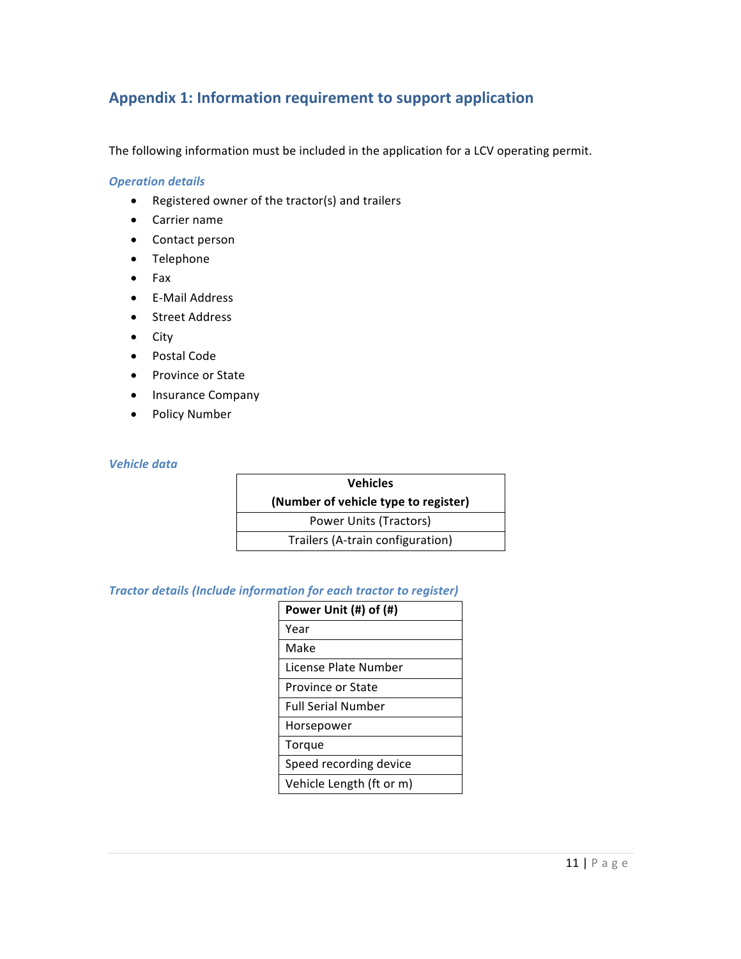#### Appendix 1: Information requirement to support application

The following information must be included in the application for a LCV operating permit.

#### *Operation details*

- Registered owner of the tractor(s) and trailers
- Carrier name
- Contact person
- Telephone
- Fax
- E-Mail Address
- Street Address
- City
- Postal Code
- Province or State
- Insurance Company
- Policy Number

#### *Vehicle data*

| <b>Vehicles</b>                      |  |  |
|--------------------------------------|--|--|
| (Number of vehicle type to register) |  |  |
| Power Units (Tractors)               |  |  |
| Trailers (A-train configuration)     |  |  |

#### **Tractor details (Include information for each tractor to register)**

| Power Unit (#) of (#)     |
|---------------------------|
| Year                      |
| Make                      |
| License Plate Number      |
| Province or State         |
| <b>Full Serial Number</b> |
| Horsepower                |
| Torque                    |
| Speed recording device    |
| Vehicle Length (ft or m)  |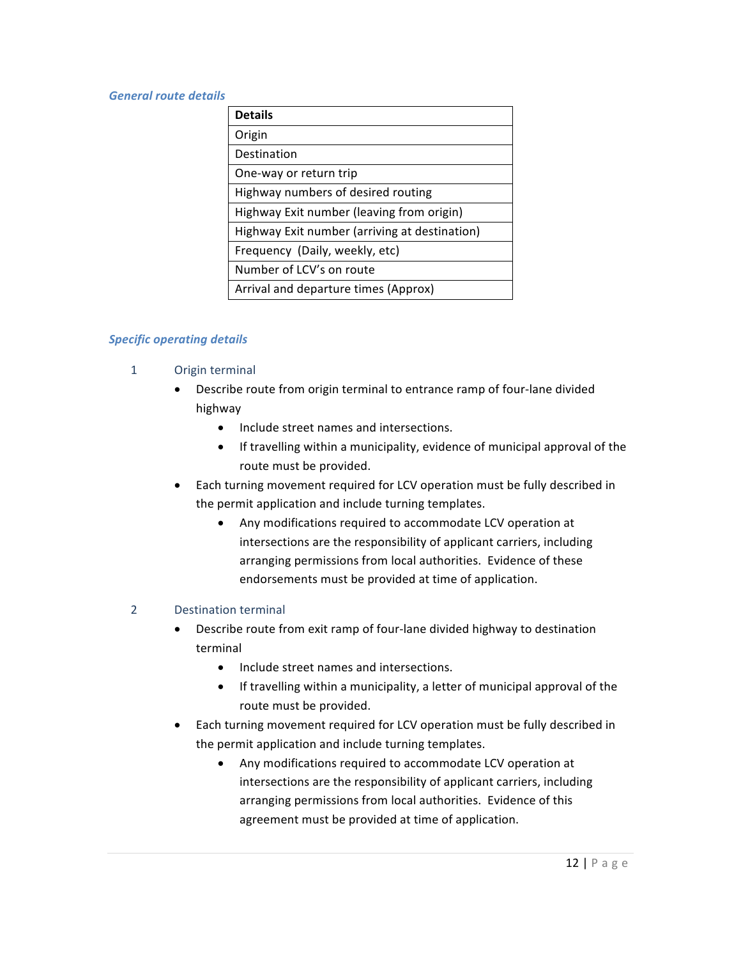#### General route details

| <b>Details</b>                                |
|-----------------------------------------------|
| Origin                                        |
| Destination                                   |
| One-way or return trip                        |
| Highway numbers of desired routing            |
| Highway Exit number (leaving from origin)     |
| Highway Exit number (arriving at destination) |
| Frequency (Daily, weekly, etc)                |
| Number of LCV's on route                      |
| Arrival and departure times (Approx)          |

#### *Specific operating details*

- 1 Origin terminal
	- Describe route from origin terminal to entrance ramp of four-lane divided highway
		- Include street names and intersections.
		- If travelling within a municipality, evidence of municipal approval of the route must be provided.
	- Each turning movement required for LCV operation must be fully described in the permit application and include turning templates.
		- Any modifications required to accommodate LCV operation at intersections are the responsibility of applicant carriers, including arranging permissions from local authorities. Evidence of these endorsements must be provided at time of application.

#### 2 Destination terminal

- Describe route from exit ramp of four-lane divided highway to destination terminal
	- Include street names and intersections.
	- If travelling within a municipality, a letter of municipal approval of the route must be provided.
- Each turning movement required for LCV operation must be fully described in the permit application and include turning templates.
	- Any modifications required to accommodate LCV operation at intersections are the responsibility of applicant carriers, including arranging permissions from local authorities. Evidence of this agreement must be provided at time of application.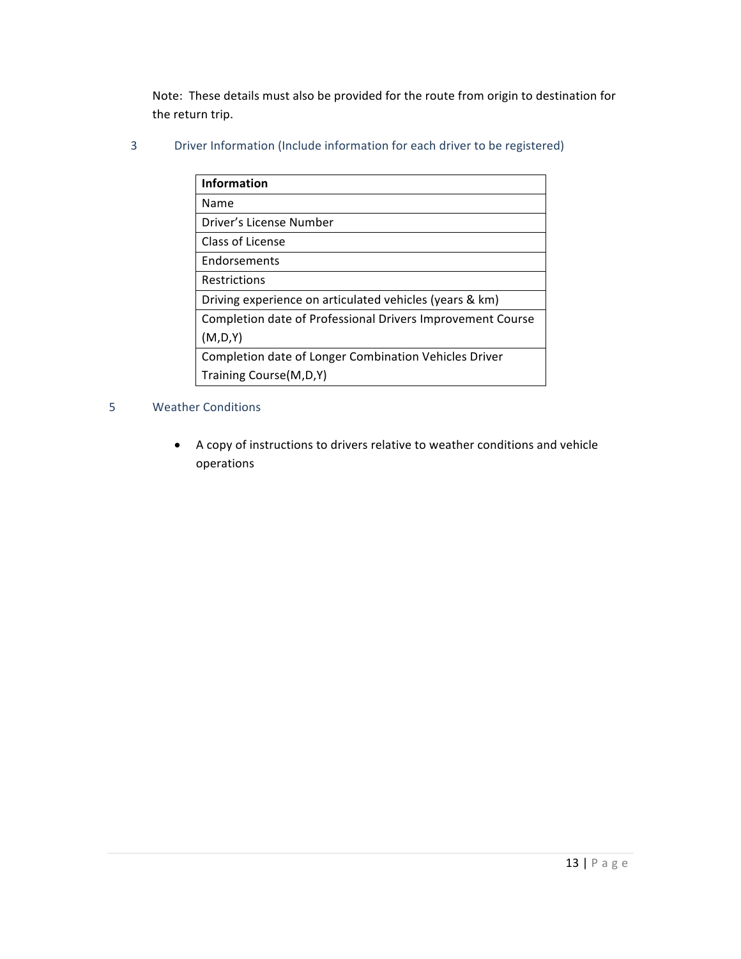Note: These details must also be provided for the route from origin to destination for the return trip.

3 Driver Information (Include information for each driver to be registered)

| <b>Information</b>                                         |
|------------------------------------------------------------|
| Name                                                       |
| Driver's License Number                                    |
| Class of License                                           |
| <b>Endorsements</b>                                        |
| <b>Restrictions</b>                                        |
| Driving experience on articulated vehicles (years & km)    |
| Completion date of Professional Drivers Improvement Course |
| (M,D,Y)                                                    |
| Completion date of Longer Combination Vehicles Driver      |
| Training Course (M, D, Y)                                  |

#### 5 Weather Conditions

• A copy of instructions to drivers relative to weather conditions and vehicle operations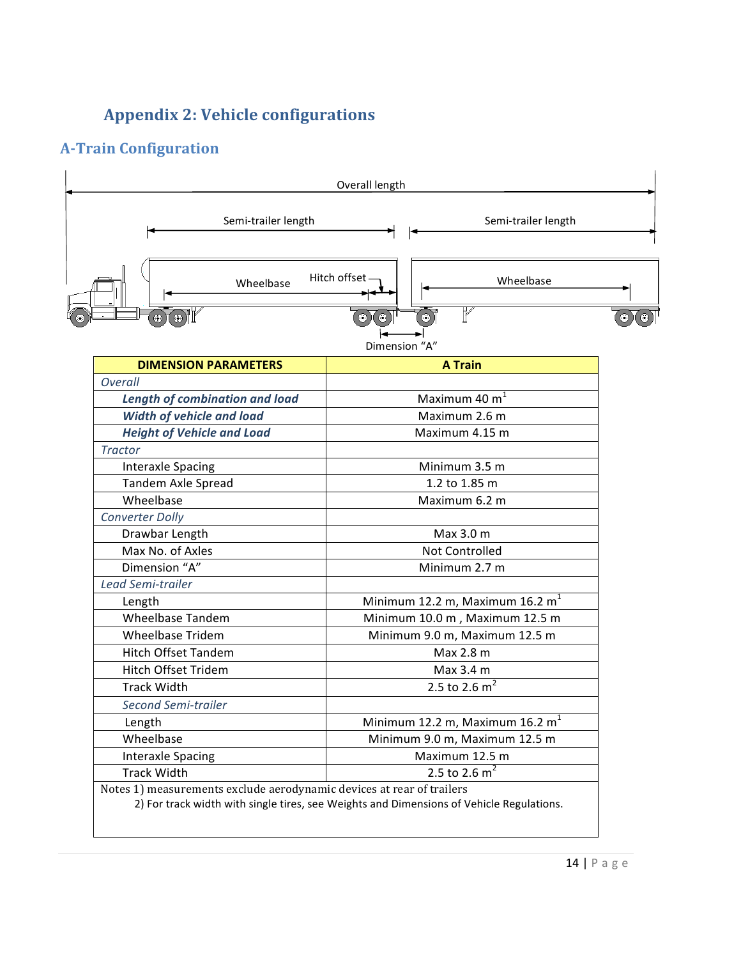# **Appendix 2: Vehicle configurations**

## **A-Train Configuration**

| Semi-trailer length                                                                         | Semi-trailer length                                                                     |  |
|---------------------------------------------------------------------------------------------|-----------------------------------------------------------------------------------------|--|
| Wheelbase                                                                                   | Hitch offset<br>Wheelbase<br>F<br>$\bullet$<br>$\odot$<br>$_{\odot}$ )<br>Dimension "A" |  |
| <b>DIMENSION PARAMETERS</b>                                                                 | <b>A Train</b>                                                                          |  |
| Overall                                                                                     |                                                                                         |  |
| <b>Length of combination and load</b>                                                       | Maximum 40 $m1$                                                                         |  |
| <b>Width of vehicle and load</b>                                                            | Maximum 2.6 m                                                                           |  |
| <b>Height of Vehicle and Load</b>                                                           | Maximum 4.15 m                                                                          |  |
| <b>Tractor</b>                                                                              |                                                                                         |  |
| <b>Interaxle Spacing</b>                                                                    | Minimum 3.5 m                                                                           |  |
| <b>Tandem Axle Spread</b>                                                                   | 1.2 to 1.85 m                                                                           |  |
| Wheelbase                                                                                   | Maximum 6.2 m                                                                           |  |
| <b>Converter Dolly</b>                                                                      |                                                                                         |  |
| Drawbar Length                                                                              | Max 3.0 m                                                                               |  |
| Max No. of Axles                                                                            | Not Controlled                                                                          |  |
| Dimension "A"                                                                               | Minimum 2.7 m                                                                           |  |
| Lead Semi-trailer                                                                           |                                                                                         |  |
| Length                                                                                      | Minimum 12.2 m, Maximum 16.2 $m1$                                                       |  |
| <b>Wheelbase Tandem</b>                                                                     | Minimum 10.0 m, Maximum 12.5 m                                                          |  |
| <b>Wheelbase Tridem</b>                                                                     | Minimum 9.0 m, Maximum 12.5 m                                                           |  |
| <b>Hitch Offset Tandem</b>                                                                  | Max 2.8 m                                                                               |  |
| Hitch Offset Tridem                                                                         | Max 3.4 m                                                                               |  |
| <b>Track Width</b>                                                                          | 2.5 to 2.6 $m^2$                                                                        |  |
| Second Semi-trailer                                                                         |                                                                                         |  |
| Length                                                                                      | Minimum 12.2 m, Maximum 16.2 $m1$                                                       |  |
| Wheelbase                                                                                   | Minimum 9.0 m, Maximum 12.5 m                                                           |  |
| <b>Interaxle Spacing</b>                                                                    | Maximum 12.5 m                                                                          |  |
| <b>Track Width</b><br>Notes 1) measurements exclude aerodynamic devices at rear of trailers | 2.5 to 2.6 $m^2$                                                                        |  |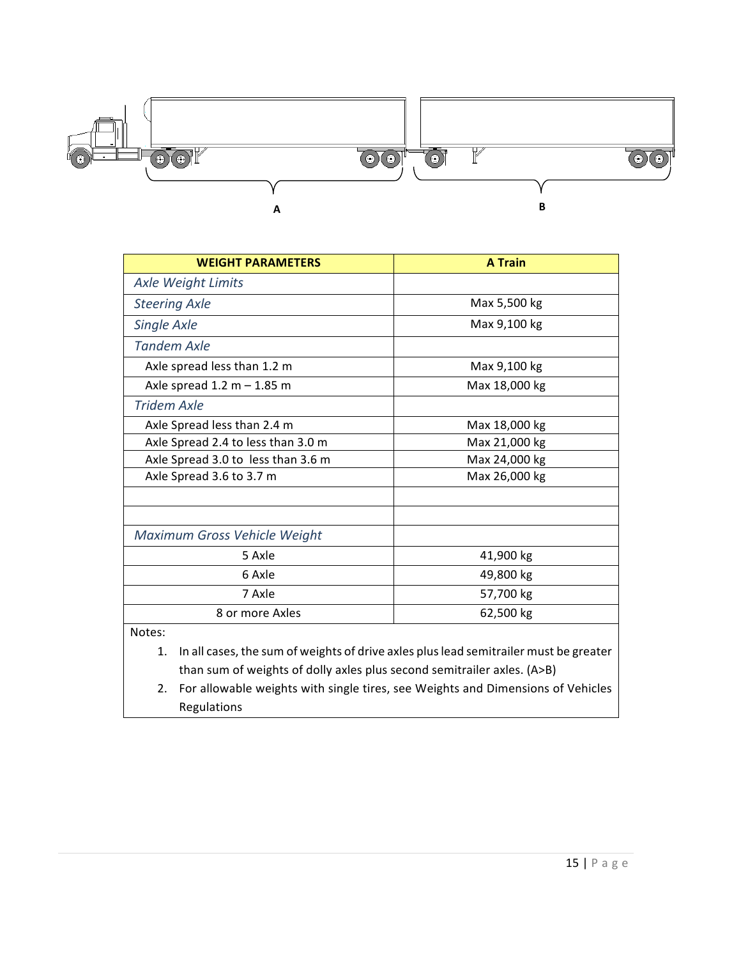

| <b>WEIGHT PARAMETERS</b>           | <b>A</b> Train |  |
|------------------------------------|----------------|--|
| <b>Axle Weight Limits</b>          |                |  |
| <b>Steering Axle</b>               | Max 5,500 kg   |  |
| <b>Single Axle</b>                 | Max 9,100 kg   |  |
| <b>Tandem Axle</b>                 |                |  |
| Axle spread less than 1.2 m        | Max 9,100 kg   |  |
| Axle spread $1.2 m - 1.85 m$       | Max 18,000 kg  |  |
| <b>Tridem Axle</b>                 |                |  |
| Axle Spread less than 2.4 m        | Max 18,000 kg  |  |
| Axle Spread 2.4 to less than 3.0 m | Max 21,000 kg  |  |
| Axle Spread 3.0 to less than 3.6 m | Max 24,000 kg  |  |
| Axle Spread 3.6 to 3.7 m           | Max 26,000 kg  |  |
|                                    |                |  |
|                                    |                |  |
| Maximum Gross Vehicle Weight       |                |  |
| 5 Axle                             | 41,900 kg      |  |
| 6 Axle                             | 49,800 kg      |  |
| 7 Axle                             | 57,700 kg      |  |
| 8 or more Axles                    | 62,500 kg      |  |

Notes:

1. In all cases, the sum of weights of drive axles plus lead semitrailer must be greater than sum of weights of dolly axles plus second semitrailer axles. (A>B)

2. For allowable weights with single tires, see Weights and Dimensions of Vehicles Regulations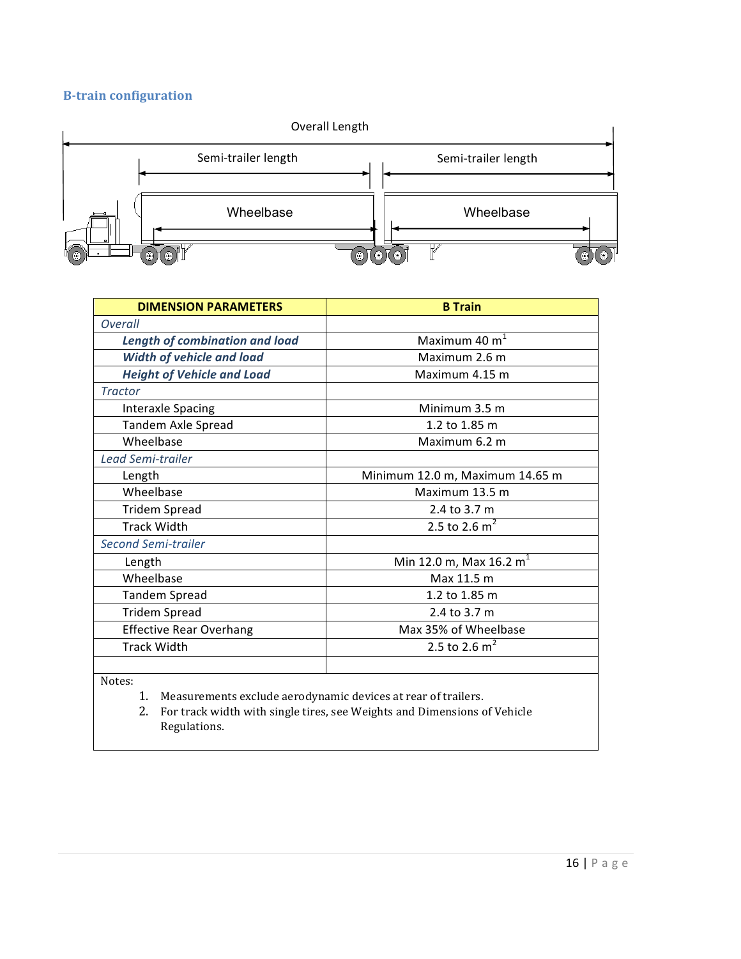#### **B-train configuration**



| <b>DIMENSION PARAMETERS</b>           | <b>B</b> Train                      |  |
|---------------------------------------|-------------------------------------|--|
| <b>Overall</b>                        |                                     |  |
| <b>Length of combination and load</b> | Maximum 40 $m1$                     |  |
| <b>Width of vehicle and load</b>      | Maximum 2.6 m                       |  |
| <b>Height of Vehicle and Load</b>     | Maximum 4.15 m                      |  |
| <b>Tractor</b>                        |                                     |  |
| <b>Interaxle Spacing</b>              | Minimum 3.5 m                       |  |
| <b>Tandem Axle Spread</b>             | 1.2 to 1.85 m                       |  |
| Wheelbase                             | Maximum 6.2 m                       |  |
| Lead Semi-trailer                     |                                     |  |
| Length                                | Minimum 12.0 m, Maximum 14.65 m     |  |
| Wheelbase                             | Maximum 13.5 m                      |  |
| <b>Tridem Spread</b>                  | 2.4 to 3.7 m                        |  |
| <b>Track Width</b>                    | 2.5 to 2.6 $m^2$                    |  |
| <b>Second Semi-trailer</b>            |                                     |  |
| Length                                | Min 12.0 m, Max 16.2 m <sup>1</sup> |  |
| Wheelbase                             | Max 11.5 m                          |  |
| <b>Tandem Spread</b>                  | 1.2 to 1.85 m                       |  |
| <b>Tridem Spread</b>                  | 2.4 to 3.7 m                        |  |
| <b>Effective Rear Overhang</b>        | Max 35% of Wheelbase                |  |
| <b>Track Width</b>                    | 2.5 to 2.6 $m^2$                    |  |
|                                       |                                     |  |

Notes:

1. Measurements exclude aerodynamic devices at rear of trailers.

2. For track width with single tires, see Weights and Dimensions of Vehicle Regulations.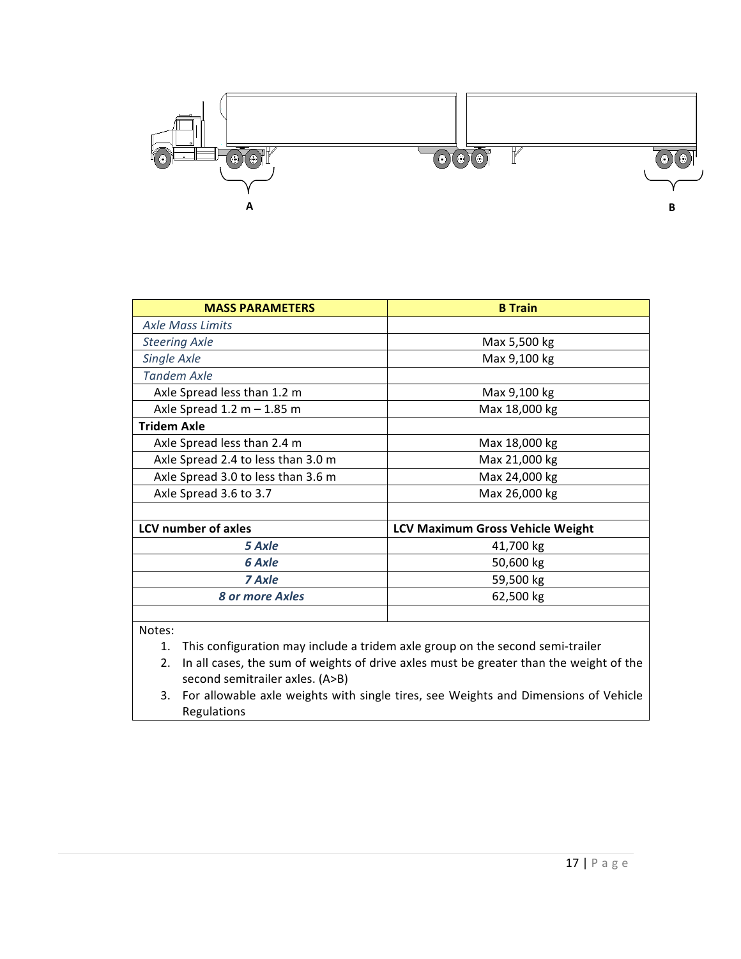

| <b>MASS PARAMETERS</b>             | <b>B</b> Train                          |  |
|------------------------------------|-----------------------------------------|--|
| <b>Axle Mass Limits</b>            |                                         |  |
| <b>Steering Axle</b>               | Max 5,500 kg                            |  |
| Single Axle                        | Max 9,100 kg                            |  |
| <b>Tandem Axle</b>                 |                                         |  |
| Axle Spread less than 1.2 m        | Max 9,100 kg                            |  |
| Axle Spread $1.2 m - 1.85 m$       | Max 18,000 kg                           |  |
| <b>Tridem Axle</b>                 |                                         |  |
| Axle Spread less than 2.4 m        | Max 18,000 kg                           |  |
| Axle Spread 2.4 to less than 3.0 m | Max 21,000 kg                           |  |
| Axle Spread 3.0 to less than 3.6 m | Max 24,000 kg                           |  |
| Axle Spread 3.6 to 3.7             | Max 26,000 kg                           |  |
|                                    |                                         |  |
| <b>LCV number of axles</b>         | <b>LCV Maximum Gross Vehicle Weight</b> |  |
| 5 Axle                             | 41,700 kg                               |  |
| 6 Axle                             | 50,600 kg                               |  |
| 7 Axle                             | 59,500 kg                               |  |
| <b>8 or more Axles</b>             | 62,500 kg                               |  |
|                                    |                                         |  |

Notes:

1. This configuration may include a tridem axle group on the second semi-trailer

2. In all cases, the sum of weights of drive axles must be greater than the weight of the second semitrailer axles. (A>B)

3. For allowable axle weights with single tires, see Weights and Dimensions of Vehicle Regulations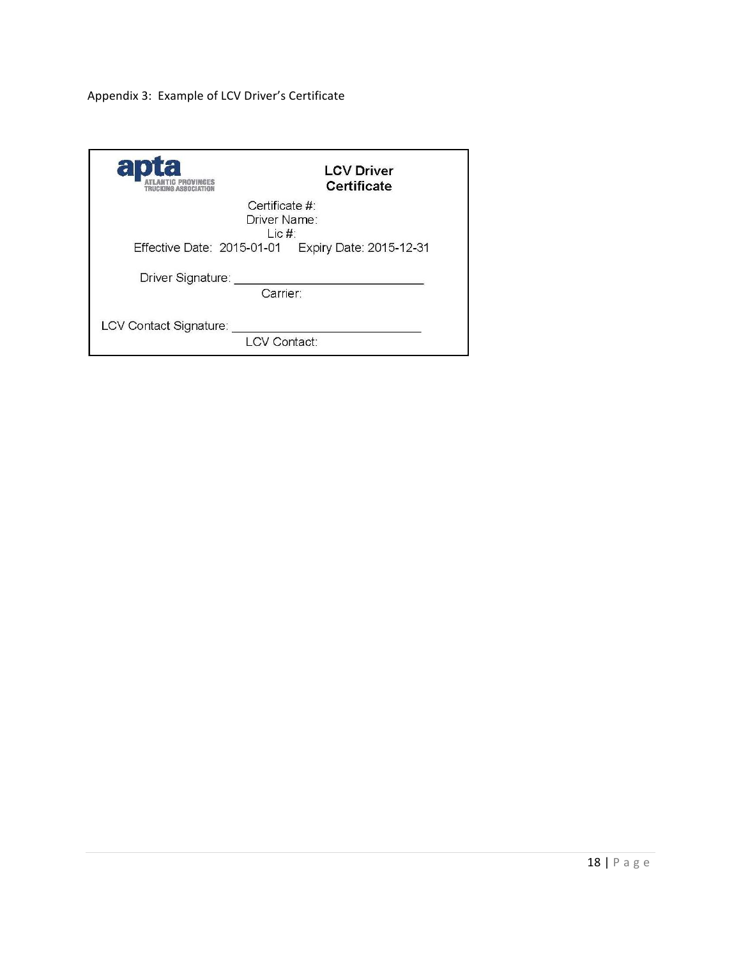Appendix 3: Example of LCV Driver's Certificate

| a                                                    | <b>LCV Driver</b><br>Certificate |  |
|------------------------------------------------------|----------------------------------|--|
| Certificate #1<br>Driver Name:<br>Lie#               |                                  |  |
| Effective Date: 2015-01-01   Expiry Date: 2015-12-31 |                                  |  |
| Driver Signature:                                    |                                  |  |
|                                                      | Carrier:                         |  |
| LCV Contact Signature:                               |                                  |  |
|                                                      | I CV Contact:                    |  |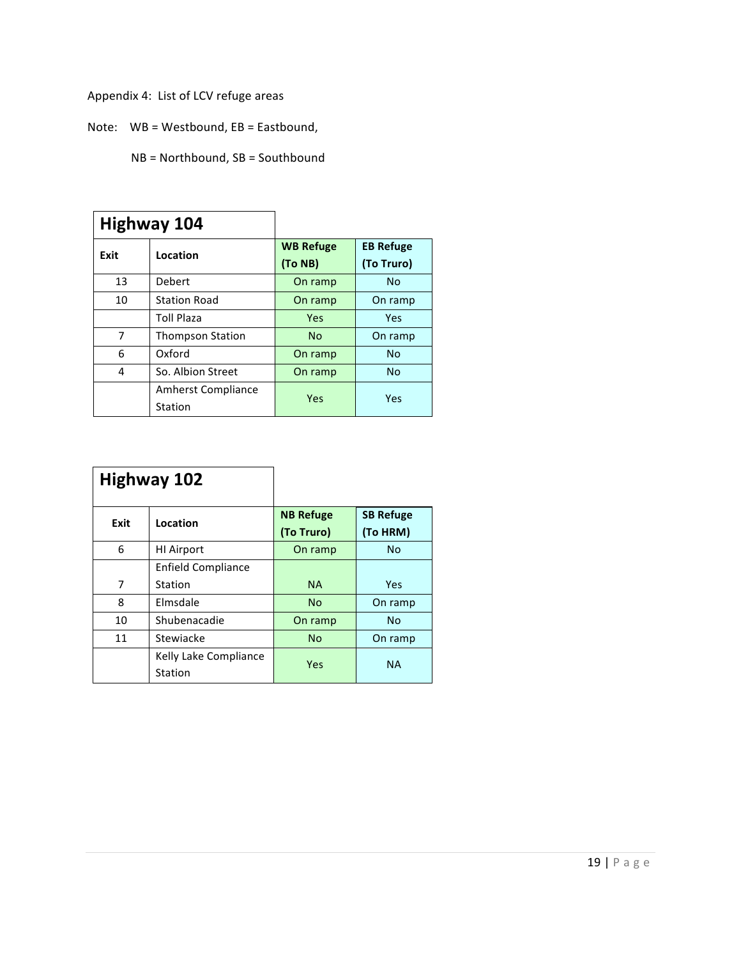Appendix 4: List of LCV refuge areas

Note:  $WB = Westbound$ ,  $EB = Eastbound$ ,

NB = Northbound, SB = Southbound

|      | Highway 104                          |                             |                                |
|------|--------------------------------------|-----------------------------|--------------------------------|
| Exit | Location                             | <b>WB Refuge</b><br>(To NB) | <b>EB Refuge</b><br>(To Truro) |
| 13   | Debert                               | On ramp                     | No                             |
| 10   | <b>Station Road</b>                  | On ramp                     | On ramp                        |
|      | <b>Toll Plaza</b>                    | Yes                         | Yes                            |
| 7    | <b>Thompson Station</b>              | N <sub>0</sub>              | On ramp                        |
| 6    | Oxford                               | On ramp                     | <b>No</b>                      |
| 4    | So. Albion Street                    | On ramp                     | <b>No</b>                      |
|      | <b>Amherst Compliance</b><br>Station | Yes                         | Yes                            |

|      | <b>Highway 102</b>               |                                |                              |
|------|----------------------------------|--------------------------------|------------------------------|
| Exit | Location                         | <b>NB Refuge</b><br>(To Truro) | <b>SB Refuge</b><br>(To HRM) |
| 6    | <b>HI Airport</b>                | On ramp                        | <b>No</b>                    |
|      | <b>Enfield Compliance</b>        |                                |                              |
| 7    | Station                          | <b>NA</b>                      | Yes                          |
| 8    | Elmsdale                         | <b>No</b>                      | On ramp                      |
| 10   | Shubenacadie                     | On ramp                        | <b>No</b>                    |
| 11   | Stewiacke                        | <b>No</b>                      | On ramp                      |
|      | Kelly Lake Compliance<br>Station | Yes                            | <b>NA</b>                    |